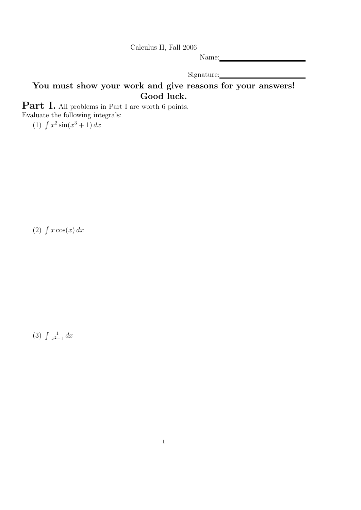Calculus II, Fall 2006

Name:

Signature:

## You must show your work and give reasons for your answers! Good luck.

Part I. All problems in Part I are worth 6 points. Evaluate the following integrals:

(1)  $\int x^2 \sin(x^3 + 1) dx$ 

 $(2)$   $\int x \cos(x) dx$ 

 $(3)$   $\int \frac{1}{x^2}$  $rac{1}{x^2-1}$  dx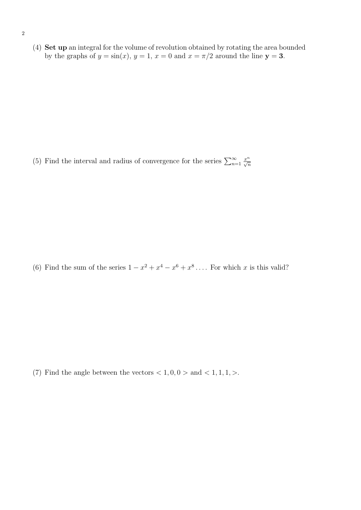(4) Set up an integral for the volume of revolution obtained by rotating the area bounded by the graphs of  $y = sin(x)$ ,  $y = 1$ ,  $x = 0$  and  $x = \pi/2$  around the line  $y = 3$ .

(5) Find the interval and radius of convergence for the series  $\sum_{n=1}^{\infty}$  $rac{x^n}{\sqrt{n}}$ 

(6) Find the sum of the series  $1 - x^2 + x^4 - x^6 + x^8 + \dots$  For which x is this valid?

(7) Find the angle between the vectors  $< 1, 0, 0 >$  and  $< 1, 1, 1,$ .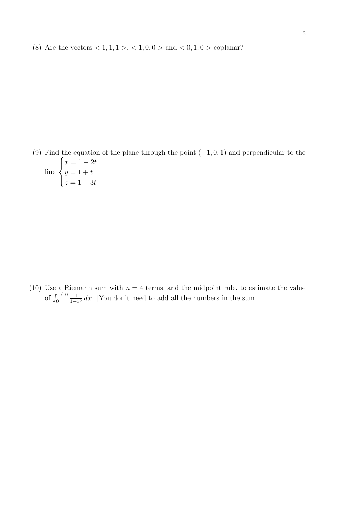(8) Are the vectors  $< 1, 1, 1 > 1, 1, 0, 0 > 0$  and  $< 0, 1, 0 > 0$  coplanar?

(9) Find the equation of the plane through the point  $(-1, 0, 1)$  and perpendicular to the line  $\sqrt{ }$  $\int$  $\overline{\mathcal{L}}$  $x = 1 - 2t$  $y = 1 + t$  $z = 1 - 3t$ 

(10) Use a Riemann sum with  $n = 4$  terms, and the midpoint rule, to estimate the value of  $\int_0^{1/10}$  $\frac{1}{1+x^5} dx$ . [You don't need to add all the numbers in the sum.]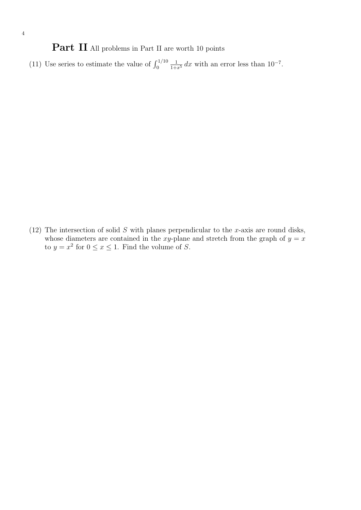Part II All problems in Part II are worth 10 points

(11) Use series to estimate the value of  $\int_0^{1/10}$  $\frac{1}{1+x^5} dx$  with an error less than  $10^{-7}$ .

(12) The intersection of solid  $S$  with planes perpendicular to the x-axis are round disks, whose diameters are contained in the xy-plane and stretch from the graph of  $y = x$ to  $y = x^2$  for  $0 \le x \le 1$ . Find the volume of S.